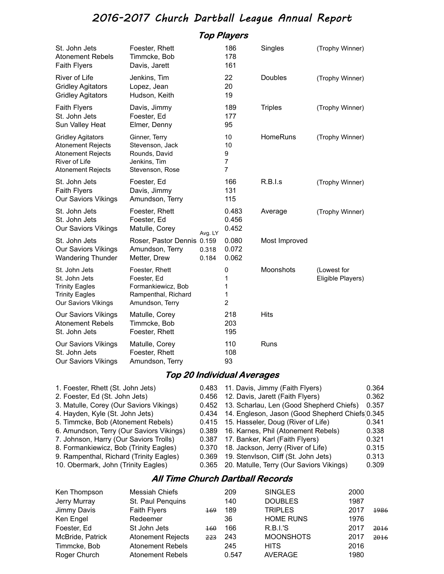## 2016-2017 Church Dartball League Annual Report

|                                                                                                                               |                                                                                               |                | <b>Top Players</b>                 |                 |                                  |
|-------------------------------------------------------------------------------------------------------------------------------|-----------------------------------------------------------------------------------------------|----------------|------------------------------------|-----------------|----------------------------------|
| St. John Jets<br><b>Atonement Rebels</b><br><b>Faith Flyers</b>                                                               | Foester, Rhett<br>Timmcke, Bob<br>Davis, Jarett                                               |                | 186<br>178<br>161                  | Singles         | (Trophy Winner)                  |
| River of Life<br><b>Gridley Agitators</b><br><b>Gridley Agitators</b>                                                         | Jenkins, Tim<br>Lopez, Jean<br>Hudson, Keith                                                  |                | 22<br>20<br>19                     | Doubles         | (Trophy Winner)                  |
| <b>Faith Flyers</b><br>St. John Jets<br>Sun Valley Heat                                                                       | Davis, Jimmy<br>Foester, Ed<br>Elmer, Denny                                                   |                | 189<br>177<br>95                   | <b>Triples</b>  | (Trophy Winner)                  |
| <b>Gridley Agitators</b><br><b>Atonement Rejects</b><br><b>Atonement Rejects</b><br>River of Life<br><b>Atonement Rejects</b> | Ginner, Terry<br>Stevenson, Jack<br>Rounds, David<br>Jenkins, Tim<br>Stevenson, Rose          |                | 10<br>10<br>9<br>7<br>7            | <b>HomeRuns</b> | (Trophy Winner)                  |
| St. John Jets<br><b>Faith Flyers</b><br><b>Our Saviors Vikings</b>                                                            | Foester, Ed<br>Davis, Jimmy<br>Amundson, Terry                                                |                | 166<br>131<br>115                  | R.B.l.s         | (Trophy Winner)                  |
| St. John Jets<br>St. John Jets<br><b>Our Saviors Vikings</b>                                                                  | Foester, Rhett<br>Foester, Ed<br>Matulle, Corey                                               | Avg. LY        | 0.483<br>0.456<br>0.452            | Average         | (Trophy Winner)                  |
| St. John Jets<br>Our Saviors Vikings<br><b>Wandering Thunder</b>                                                              | Roser, Pastor Dennis 0.159<br>Amundson, Terry<br>Metter, Drew                                 | 0.318<br>0.184 | 0.080<br>0.072<br>0.062            | Most Improved   |                                  |
| St. John Jets<br>St. John Jets<br><b>Trinity Eagles</b><br><b>Trinity Eagles</b><br><b>Our Saviors Vikings</b>                | Foester, Rhett<br>Foester, Ed<br>Formankiewicz, Bob<br>Rampenthal, Richard<br>Amundson, Terry |                | 0<br>1<br>1<br>1<br>$\overline{2}$ | Moonshots       | (Lowest for<br>Eligible Players) |
| <b>Our Saviors Vikings</b><br><b>Atonement Rebels</b><br>St. John Jets                                                        | Matulle, Corey<br>Timmcke, Bob<br>Foester, Rhett                                              |                | 218<br>203<br>195                  | Hits            |                                  |
| <b>Our Saviors Vikings</b><br>St. John Jets<br><b>Our Saviors Vikings</b>                                                     | Matulle, Corey<br>Foester, Rhett<br>Amundson, Terry                                           |                | 110<br>108<br>93                   | Runs            |                                  |
|                                                                                                                               |                                                                                               |                | Top 20 Individual Averages         |                 |                                  |
| $\sim$                                                                                                                        |                                                                                               |                |                                    |                 |                                  |

| 1. Foester, Rhett (St. John Jets)        |       | 0.483 11. Davis, Jimmy (Faith Flyers)                 | 0.364 |
|------------------------------------------|-------|-------------------------------------------------------|-------|
| 2. Foester, Ed (St. John Jets)           |       | 0.456 12. Davis, Jarett (Faith Flyers)                | 0.362 |
| 3. Matulle, Corey (Our Saviors Vikings)  |       | 0.452 13. Scharlau, Len (Good Shepherd Chiefs)        | 0.357 |
| 4. Hayden, Kyle (St. John Jets)          |       | 0.434 14. Engleson, Jason (Good Shepherd Chiefs 0.345 |       |
| 5. Timmcke, Bob (Atonement Rebels)       |       | 0.415 15. Hasseler, Doug (River of Life)              | 0.341 |
| 6. Amundson, Terry (Our Saviors Vikings) |       | 0.389 16. Karnes, Phil (Atonement Rebels)             | 0.338 |
| 7. Johnson, Harry (Our Saviors Trolls)   |       | 0.387 17. Banker, Karl (Faith Flyers)                 | 0.321 |
| 8. Formankiewicz, Bob (Trinity Eagles)   | 0.370 | 18. Jackson, Jerry (River of Life)                    | 0.315 |
| 9. Rampenthal, Richard (Trinity Eagles)  |       | 0.369 19. Stenvlson, Cliff (St. John Jets)            | 0.313 |
| 10. Obermark, John (Trinity Eagles)      |       | 0.365 20. Matulle, Terry (Our Saviors Vikings)        | 0.309 |
|                                          |       |                                                       |       |

## All Time Church Dartball Records

| Ken Thompson     | Messiah Chiefs           |     |       | <b>SINGLES</b>   | 2000 |      |
|------------------|--------------------------|-----|-------|------------------|------|------|
| Jerry Murray     | St. Paul Penquins        |     |       | <b>DOUBLES</b>   | 1987 |      |
| Jimmy Davis      | <b>Faith Flyers</b>      | 169 | 189   | <b>TRIPLES</b>   | 2017 | 1986 |
| Ken Engel        | Redeemer                 |     | 36    | <b>HOME RUNS</b> | 1976 |      |
| Foester, Ed      | St John Jets             | 160 | 166   | <b>R.B.I.'S</b>  | 2017 | 2016 |
| McBride, Patrick | <b>Atonement Rejects</b> | 223 | 243   | <b>MOONSHOTS</b> | 2017 | 2016 |
| Timmcke, Bob     | <b>Atonement Rebels</b>  |     |       | <b>HITS</b>      | 2016 |      |
| Roger Church     | <b>Atonement Rebels</b>  |     | 0.547 | AVERAGE          | 1980 |      |